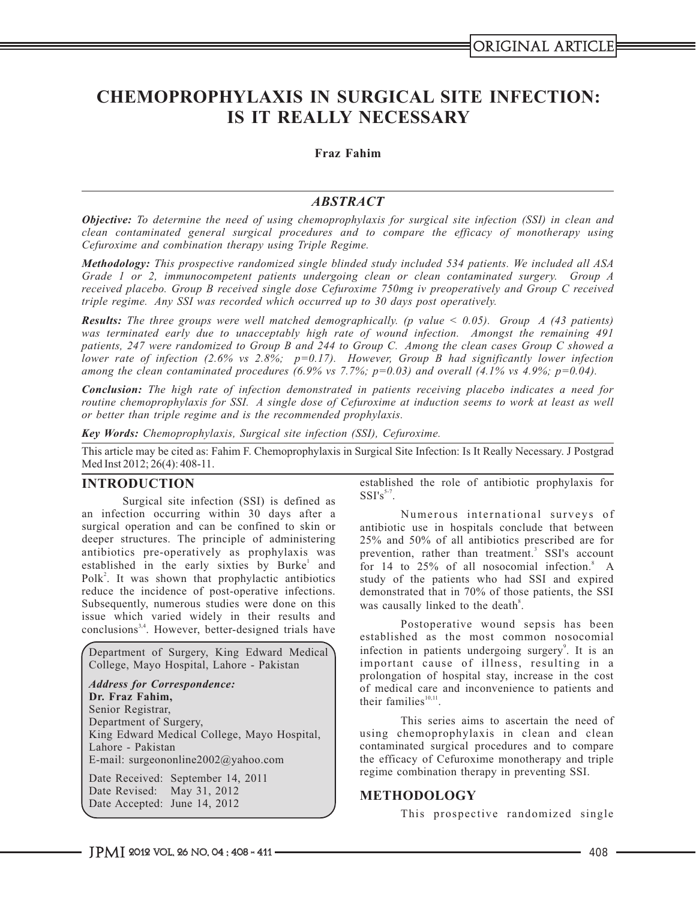# **CHEMOPROPHYLAXIS IN SURGICAL SITE INFECTION: IS IT REALLY NECESSARY**

## **Fraz Fahim**

## *ABSTRACT*

*Objective: To determine the need of using chemoprophylaxis for surgical site infection (SSI) in clean and clean contaminated general surgical procedures and to compare the efficacy of monotherapy using Cefuroxime and combination therapy using Triple Regime.*

*Methodology: This prospective randomized single blinded study included 534 patients. We included all ASA Grade 1 or 2, immunocompetent patients undergoing clean or clean contaminated surgery. Group A received placebo. Group B received single dose Cefuroxime 750mg iv preoperatively and Group C received triple regime. Any SSI was recorded which occurred up to 30 days post operatively.*

*Results: The three groups were well matched demographically. (p value < 0.05). Group A (43 patients) was terminated early due to unacceptably high rate of wound infection. Amongst the remaining 491 patients, 247 were randomized to Group B and 244 to Group C. Among the clean cases Group C showed a lower rate of infection (2.6% vs 2.8%; p=0.17). However, Group B had significantly lower infection among the clean contaminated procedures (6.9% vs 7.7%; p=0.03) and overall (4.1% vs 4.9%; p=0.04).* 

*Conclusion: The high rate of infection demonstrated in patients receiving placebo indicates a need for routine chemoprophylaxis for SSI. A single dose of Cefuroxime at induction seems to work at least as well or better than triple regime and is the recommended prophylaxis.*

*Key Words: Chemoprophylaxis, Surgical site infection (SSI), Cefuroxime.*

This article may be cited as: Fahim F. Chemoprophylaxis in Surgical Site Infection: Is It Really Necessary. J Postgrad Med Inst 2012; 26(4): 408-11.

Surgical site infection (SSI) is defined as an infection occurring within 30 days after a<br>surgical operation and can be confined to skin or antibiotic use in hospitals conclude that between surgical operation and can be confined to skin or antibiotic use in hospitals conclude that between deeper structures. The principle of administering  $25\%$  and  $50\%$  of all antibiotics prescribed are for deeper structures. The principle of administering 25% and 50% of all antibiotics prescribed are for antibiotics pre-operatively as prophylaxis was prevention, rather than treatment.<sup>3</sup> SSI's account antibiotics pre-operatively as prophylaxis was prevention, rather than treatment.<sup>3</sup> SSI's account established in the early sixties by Burke<sup>1</sup> and for 14 to 25% of all nosocomial infection.<sup>8</sup> A Polk<sup>2</sup>. It was shown that prophylactic antibiotics study of the patients who had SSI and expired Polk<sup>2</sup>. It was shown that prophylactic antibiotics study of the patients who had SSI and expired reduce the incidence of post-operative infections. demonstrated that in 70% of those patients, the SSI Subsequently, numerous studies were done on this was causally linked to the death<sup>8</sup>. issue which varied widely in their results and conclusions<sup>3,4</sup>. However, better-designed trials have

Department of Surgery, King Edward Medical College, Mayo Hospital, Lahore - Pakistan

*Address for Correspondence:*  **Dr. Fraz Fahim,** Senior Registrar, Department of Surgery, King Edward Medical College, Mayo Hospital, Lahore - Pakistan E-mail: surgeononline2002@yahoo.com

Date Received: September 14, 2011 Date Revised: May 31, 2012 Date Accepted: June 14, 2012

**INTRODUCTION** established the role of antibiotic prophylaxis for  $SSI's$ <sup>5-7</sup>.

demonstrated that in 70% of those patients, the SSI

Postoperative wound sepsis has been established as the most common nosocomial infection in patients undergoing surgery<sup>9</sup>. It is an important cause of illness, resulting in a prolongation of hospital stay, increase in the cost of medical care and inconvenience to patients and their families $^{10,11}$ .

This series aims to ascertain the need of using chemoprophylaxis in clean and clean contaminated surgical procedures and to compare the efficacy of Cefuroxime monotherapy and triple regime combination therapy in preventing SSI.

### **METHODOLOGY**

This prospective randomized single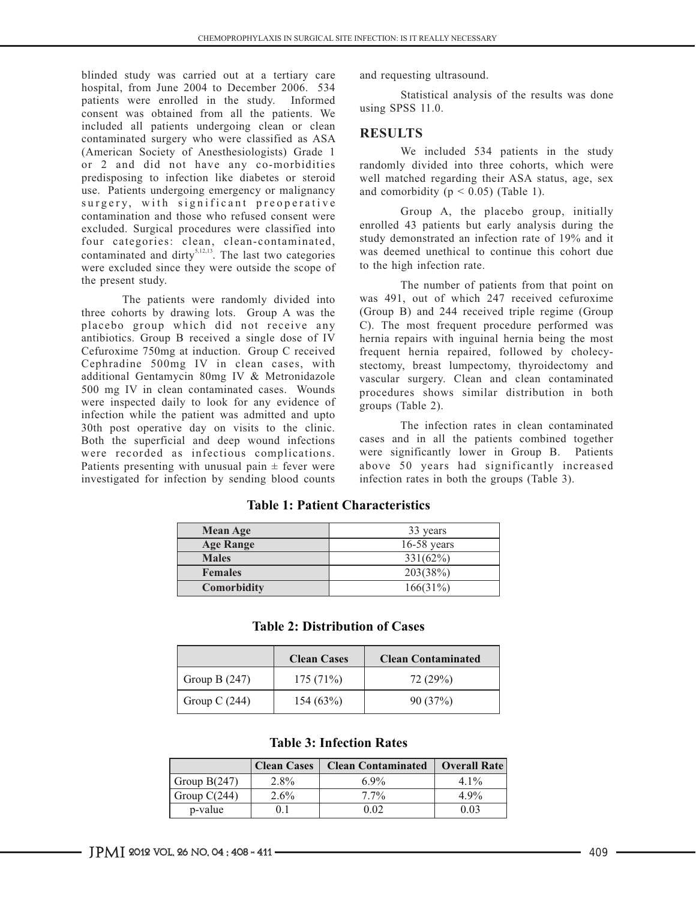blinded study was carried out at a tertiary care and requesting ultrasound.<br>hospital, from June 2004 to December 2006. 534 patients were enrolled in the study. Informed consent was obtained from all the patients. We included all patients undergoing clean or clean included all patients undergoing clean or clean<br>
contaminated surgery who were classified as ASA<br>
(American Society of Anesthesiologists) Grade 1 We included 534 patients in the study (American Society of Anesthesiologists) Grade 1 or 2 and did not have any co-morbidities or 2 and did not have any co-morbidities randomly divided into three cohorts, which were<br>predisposing to infection like diabetes or steroid well matched regarding their ASA status, age, sex use. Patients undergoing emergency or malignancy surgery, with significant preoperative contamination and those who refused consent were excluded. Surgical procedures were classified into<br>four categories: clean clean-contaminated study demonstrated an infection rate of 19% and it four categories: clean, clean-contaminated, study demonstrated an infection rate of 19% and it contaminated and dirty.<sup>5,12,13</sup> The last two categories was deemed unethical to continue this cohort due contaminated and dirty<sup>5,12,13</sup>. The last two categories was deemed unethical to continue this cohort due were excluded since they were outside the scope of  $\qquad$  to the high infection rate. the present study. The number of patients from that point on

three cohorts by drawing lots. Group A was the placebo group which did not receive any placebo group which did not receive any C). The most frequent procedure performed was antibiotics. Group B received a single dose of IV hernia repairs with inguinal hernia being the most antibiotics. Group B received a single dose of IV hernia repairs with inguinal hernia being the most Cefuroxime 750mg at induction. Group C received frequent hernia repaired. followed by cholecy-Cefuroxime 750mg at induction. Group C received frequent hernia repaired, followed by cholecy-<br>Cephradine 500mg IV in clean cases, with stectomy breast lumpectomy thyroidectomy and Cephradine 500mg IV in clean cases, with stectomy, breast lumpectomy, thyroidectomy and additional Gentamycin 80mg IV & Metronidazole vascular surgery Clean and clean contaminated additional Gentamycin 80mg IV & Metronidazole vascular surgery. Clean and clean contaminated<br>500 mg IV in clean contaminated cases. Wounds procedures shows similar distribution in both were inspected daily to look for any evidence of groups (Table 2). infection while the patient was admitted and upto 30th post operative day on visits to the clinic.<br>Both the superficial and deen wound infections cases and in all the patients combined together Both the superficial and deep wound infections were recorded as infectious complications. Patients presenting with unusual pain  $\pm$  fever were above 50 years had significantly increased for infection by sending blood counts infection rates in both the groups (Table 3). investigated for infection by sending blood counts

Statistical analysis of the results was done using SPSS 11.0.

well matched regarding their ASA status, age, sex and comorbidity ( $p < 0.05$ ) (Table 1).

Group A, the placebo group, initially

The patients were randomly divided into was 491, out of which 247 received cefuroxime<br>horts by drawing lots. Group A was the (Group B) and 244 received triple regime (Group procedures shows similar distribution in both

were significantly lower in Group B. Patients<br>above 50 years had significantly increased

| <b>Mean Age</b>  | 33 years      |  |
|------------------|---------------|--|
| <b>Age Range</b> | $16-58$ years |  |
| <b>Males</b>     | $331(62\%)$   |  |
| <b>Females</b>   | 203(38%)      |  |
| Comorbidity      | 166(31%)      |  |

## **Table 1: Patient Characteristics**

|  | <b>Table 2: Distribution of Cases</b> |  |
|--|---------------------------------------|--|
|--|---------------------------------------|--|

|                 | <b>Clean Cases</b> | <b>Clean Contaminated</b> |  |
|-----------------|--------------------|---------------------------|--|
| Group B $(247)$ | 175(71%)           | 72 (29%)                  |  |
| Group C $(244)$ | 154(63%)           | 90(37%)                   |  |

## **Table 3: Infection Rates**

|                | <b>Clean Cases</b> | <b>Clean Contaminated</b> | <b>Overall Rate</b> |
|----------------|--------------------|---------------------------|---------------------|
| Group $B(247)$ | $2.8\%$            | $6.9\%$                   | $4.1\%$             |
| Group $C(244)$ | $2.6\%$            | $7.7\%$                   | $4.9\%$             |
| p-value        |                    | 0.02                      | 0.03                |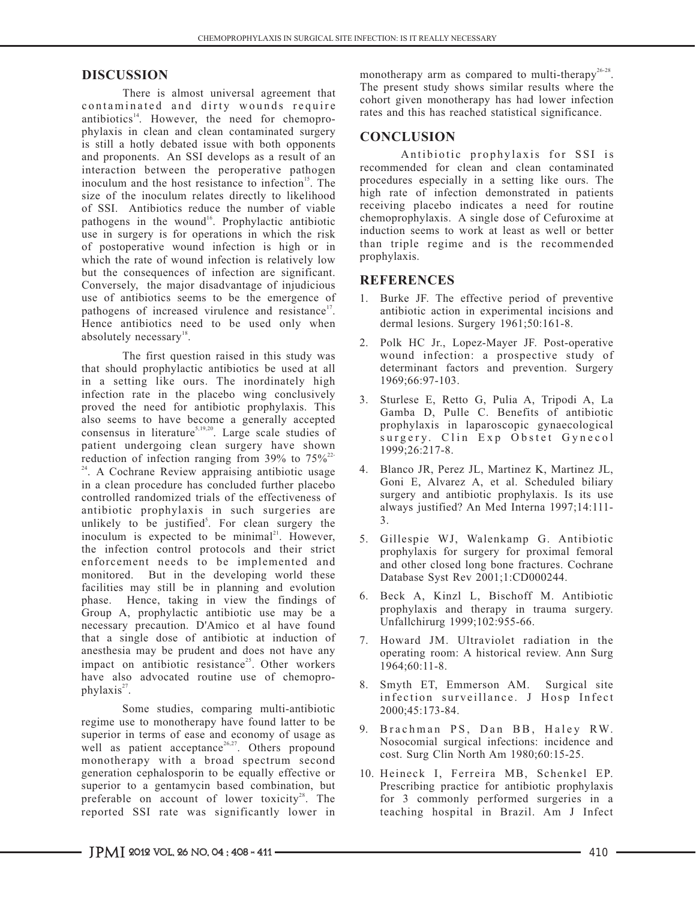contaminated and dirty wounds require antibiotics<sup>14</sup>. However, the need for chemoprophylaxis in clean and clean contaminated surgery<br>is still a hotly debated issue with both opponents<br>and prophylaxis for SSI is<br>Antibiotic prophylaxis for SSI is and proponents. An SSI develops as a result of an antibiotic prophylaxis for SSI is interaction between the peroperative pathogen recommended for clean and clean contaminated interaction between the peroperative pathogen recommended for clean and clean contaminated inoculum and the host resistance to infection  $\frac{15}{2}$ . The procedures especially in a setting like ours. The in in a setting in a setting in a setting incording in a size of the inoculum relates directly to likelihood. of SSI. Antibiotics reduce the number of viable<br>
receiving placebo indicates a need for routine<br>
represents the number of viable<br>
chemoprophylaxis. A single dose of Cefuroxime at pathogens in the wound<sup>16</sup>. Prophylactic antibiotic chemoprophylaxis. A single dose of Cefuroxime at pathogens in the wound in which the risk induction seems to work at least as well or better use in surgery is for operations in which the risk<br>of postoperative wound infection is high or in than triple regime and is the recommended of postoperative wound infection is high or in  $\frac{\text{than triple}}{\text{two}}$ which the rate of wound infection is relatively low but the consequences of infection are significant.<br> **REFERENCES** Conversely, the major disadvantage of injudicious **REFERENCES** use of antibiotics seems to be the emergence of pathogens of increased virulence and resistance<sup>17</sup>. Hence antibiotics need to be used only when absolutely necessary<sup>18</sup>.

The first question raised in this study was that should prophylactic antibiotics be used at all in a setting like ours. The inordinately high infection rate in the placebo wing conclusively proved the need for antibiotic prophylaxis. This also seems to have become a generally accepted consensus in literature<sup>5,19,20</sup>. Large scale studies of patient undergoing clean surgery have shown reduction of infection ranging from 39% to  $75\%^{22}$ <sup>24</sup>. A Cochrane Review appraising antibiotic usage in a clean procedure has concluded further placebo controlled randomized trials of the effectiveness of antibiotic prophylaxis in such surgeries are unlikely to be justified<sup>5</sup>. For clean surgery the inoculum is expected to be minimal<sup>21</sup>. However, the infection control protocols and their strict enforcement needs to be implemented and monitored. But in the developing world these facilities may still be in planning and evolution phase. Hence, taking in view the findings of Group A, prophylactic antibiotic use may be a necessary precaution. D'Amico et al have found that a single dose of antibiotic at induction of anesthesia may be prudent and does not have any impact on antibiotic resistance<sup>25</sup>. Other workers have also advocated routine use of chemoprophylaxis<sup>27</sup>.

Some studies, comparing multi-antibiotic regime use to monotherapy have found latter to be superior in terms of ease and economy of usage as well as patient acceptance<sup>26,27</sup>. Others propound monotherapy with a broad spectrum second generation cephalosporin to be equally effective or superior to a gentamycin based combination, but preferable on account of lower toxicity<sup>28</sup>. The reported SSI rate was significantly lower in

**DISCUSSION** monotherapy arm as compared to multi-therapy<sup>26-28</sup>. The present study shows similar results where the There is almost universal agreement that There is almost universal agreement that cohort given monotherapy has had lower infection rates and this has reached statistical significance.

high rate of infection demonstrated in patients receiving placebo indicates a need for routine

- 1. Burke JF. The effective period of preventive antibiotic action in experimental incisions and dermal lesions. Surgery 1961;50:161-8.
- 2. Polk HC Jr., Lopez-Mayer JF. Post-operative wound infection: a prospective study of determinant factors and prevention. Surgery 1969;66:97-103.
- 3. Sturlese E, Retto G, Pulia A, Tripodi A, La Gamba D, Pulle C. Benefits of antibiotic prophylaxis in laparoscopic gynaecological surgery. Clin Exp Obstet Gynecol 1999;26:217-8.
- 4. Blanco JR, Perez JL, Martinez K, Martinez JL, Goni E, Alvarez A, et al. Scheduled biliary surgery and antibiotic prophylaxis. Is its use always justified? An Med Interna 1997;14:111- 3.
- 5. Gillespie WJ, Walenkamp G. Antibiotic prophylaxis for surgery for proximal femoral and other closed long bone fractures. Cochrane Database Syst Rev 2001;1:CD000244.
- 6. Beck A, Kinzl L, Bischoff M. Antibiotic prophylaxis and therapy in trauma surgery. Unfallchirurg 1999;102:955-66.
- 7. Howard JM. Ultraviolet radiation in the operating room: A historical review. Ann Surg 1964;60:11-8.
- 8. Smyth ET, Emmerson AM. Surgical site infection surveillance. J Hosp Infect 2000;45:173-84.
- 9. Brachman PS, Dan BB, Haley RW. Nosocomial surgical infections: incidence and cost. Surg Clin North Am 1980;60:15-25.
- 10. Heineck I, Ferreira MB, Schenkel EP. Prescribing practice for antibiotic prophylaxis for 3 commonly performed surgeries in a teaching hospital in Brazil. Am J Infect